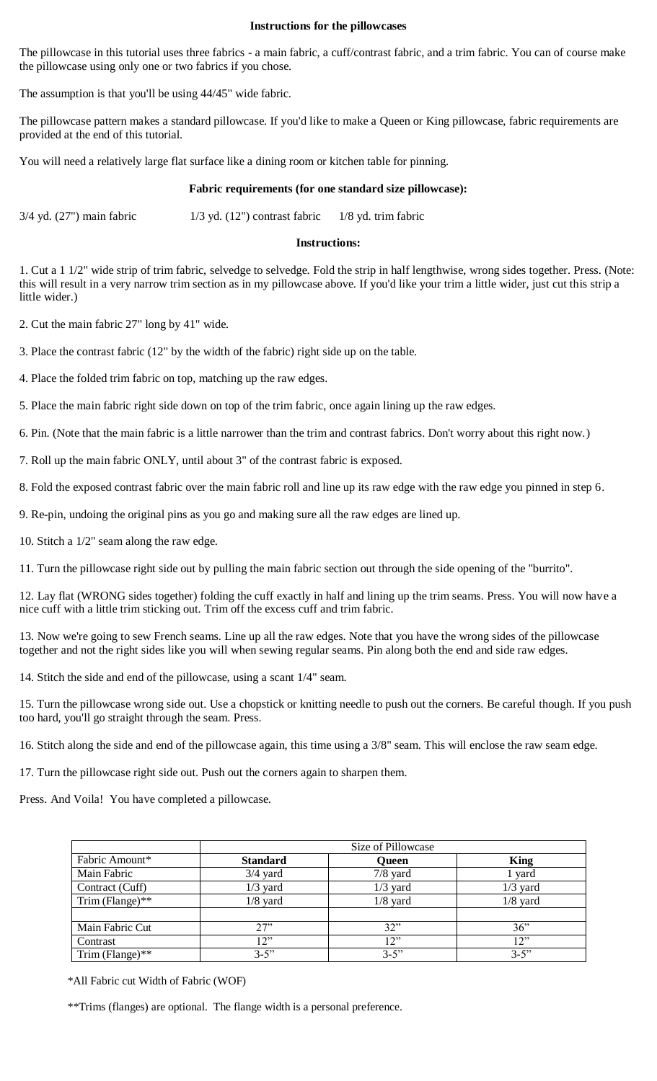## **Instructions for the pillowcases**

The pillowcase in this tutorial uses three fabrics - a main fabric, a cuff/contrast fabric, and a trim fabric. You can of course make the pillowcase using only one or two fabrics if you chose.

The assumption is that you'll be using 44/45" wide fabric.

The pillowcase pattern makes a standard pillowcase. If you'd like to make a Queen or King pillowcase, fabric requirements are provided at the end of this tutorial.

You will need a relatively large flat surface like a dining room or kitchen table for pinning.

## **Fabric requirements (for one standard size pillowcase):**

 $3/4$  yd. (27") main fabric  $1/3$  yd. (12") contrast fabric  $1/8$  yd. trim fabric

## **Instructions:**

1. Cut a 1 1/2" wide strip of trim fabric, selvedge to selvedge. Fold the strip in half lengthwise, wrong sides together. Press. (Note: this will result in a very narrow trim section as in my pillowcase above. If you'd like your trim a little wider, just cut this strip a little wider.)

2. Cut the main fabric 27" long by 41" wide.

3. Place the contrast fabric (12" by the width of the fabric) right side up on the table.

4. Place the folded trim fabric on top, matching up the raw edges.

5. Place the main fabric right side down on top of the trim fabric, once again lining up the raw edges.

6. Pin. (Note that the main fabric is a little narrower than the trim and contrast fabrics. Don't worry about this right now.)

7. Roll up the main fabric ONLY, until about 3" of the contrast fabric is exposed.

8. Fold the exposed contrast fabric over the main fabric roll and line up its raw edge with the raw edge you pinned in step 6.

9. Re-pin, undoing the original pins as you go and making sure all the raw edges are lined up.

10. Stitch a 1/2" seam along the raw edge.

11. Turn the pillowcase right side out by pulling the main fabric section out through the side opening of the "burrito".

12. Lay flat (WRONG sides together) folding the cuff exactly in half and lining up the trim seams. Press. You will now have a nice cuff with a little trim sticking out. Trim off the excess cuff and trim fabric.

13. Now we're going to sew French seams. Line up all the raw edges. Note that you have the wrong sides of the pillowcase together and not the right sides like you will when sewing regular seams. Pin along both the end and side raw edges.

14. Stitch the side and end of the pillowcase, using a scant 1/4" seam.

15. Turn the pillowcase wrong side out. Use a chopstick or knitting needle to push out the corners. Be careful though. If you push too hard, you'll go straight through the seam. Press.

16. Stitch along the side and end of the pillowcase again, this time using a 3/8" seam. This will enclose the raw seam edge.

17. Turn the pillowcase right side out. Push out the corners again to sharpen them.

Press. And Voila! You have completed a pillowcase.

|                    | Size of Pillowcase |              |             |
|--------------------|--------------------|--------------|-------------|
| Fabric Amount*     | <b>Standard</b>    | <b>Queen</b> | <b>King</b> |
| Main Fabric        | $3/4$ yard         | $7/8$ yard   | 1 yard      |
| Contract (Cuff)    | $1/3$ yard         | $1/3$ yard   | $1/3$ yard  |
| Trim (Flange)**    | $1/8$ yard         | $1/8$ yard   | $1/8$ yard  |
|                    |                    |              |             |
| Main Fabric Cut    | 27"                | 32"          | 36"         |
| Contrast           | 12"                | 12"          | 12"         |
| Trim (Flange) $**$ | $3 - 5$ "          | $3 - 5$ "    | $3 - 5$ "   |

\*All Fabric cut Width of Fabric (WOF)

\*\*Trims (flanges) are optional. The flange width is a personal preference.